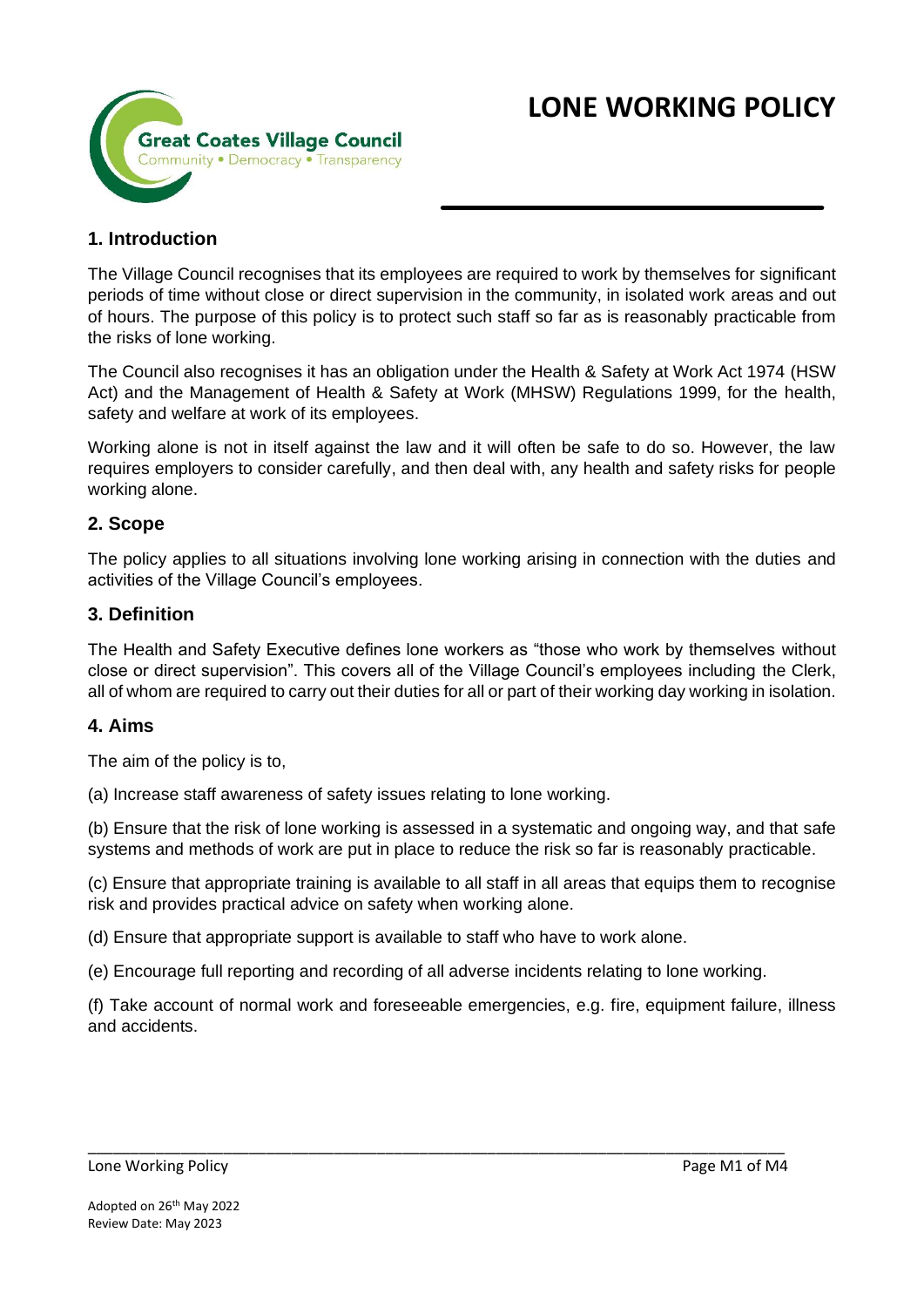

# **1. Introduction**

The Village Council recognises that its employees are required to work by themselves for significant periods of time without close or direct supervision in the community, in isolated work areas and out of hours. The purpose of this policy is to protect such staff so far as is reasonably practicable from the risks of lone working.

The Council also recognises it has an obligation under the Health & Safety at Work Act 1974 (HSW Act) and the Management of Health & Safety at Work (MHSW) Regulations 1999, for the health, safety and welfare at work of its employees.

Working alone is not in itself against the law and it will often be safe to do so. However, the law requires employers to consider carefully, and then deal with, any health and safety risks for people working alone.

### **2. Scope**

The policy applies to all situations involving lone working arising in connection with the duties and activities of the Village Council's employees.

### **3. Definition**

The Health and Safety Executive defines lone workers as "those who work by themselves without close or direct supervision". This covers all of the Village Council's employees including the Clerk, all of whom are required to carry out their duties for all or part of their working day working in isolation.

### **4. Aims**

The aim of the policy is to,

(a) Increase staff awareness of safety issues relating to lone working.

(b) Ensure that the risk of lone working is assessed in a systematic and ongoing way, and that safe systems and methods of work are put in place to reduce the risk so far is reasonably practicable.

(c) Ensure that appropriate training is available to all staff in all areas that equips them to recognise risk and provides practical advice on safety when working alone.

(d) Ensure that appropriate support is available to staff who have to work alone.

(e) Encourage full reporting and recording of all adverse incidents relating to lone working.

\_\_\_\_\_\_\_\_\_\_\_\_\_\_\_\_\_\_\_\_\_\_\_\_\_\_\_\_\_\_\_\_\_\_\_\_\_\_\_\_\_\_\_\_\_\_\_\_\_\_\_\_\_\_\_\_\_\_\_\_\_\_\_\_\_\_\_\_\_\_\_\_\_\_\_\_\_\_\_\_\_\_

(f) Take account of normal work and foreseeable emergencies, e.g. fire, equipment failure, illness and accidents.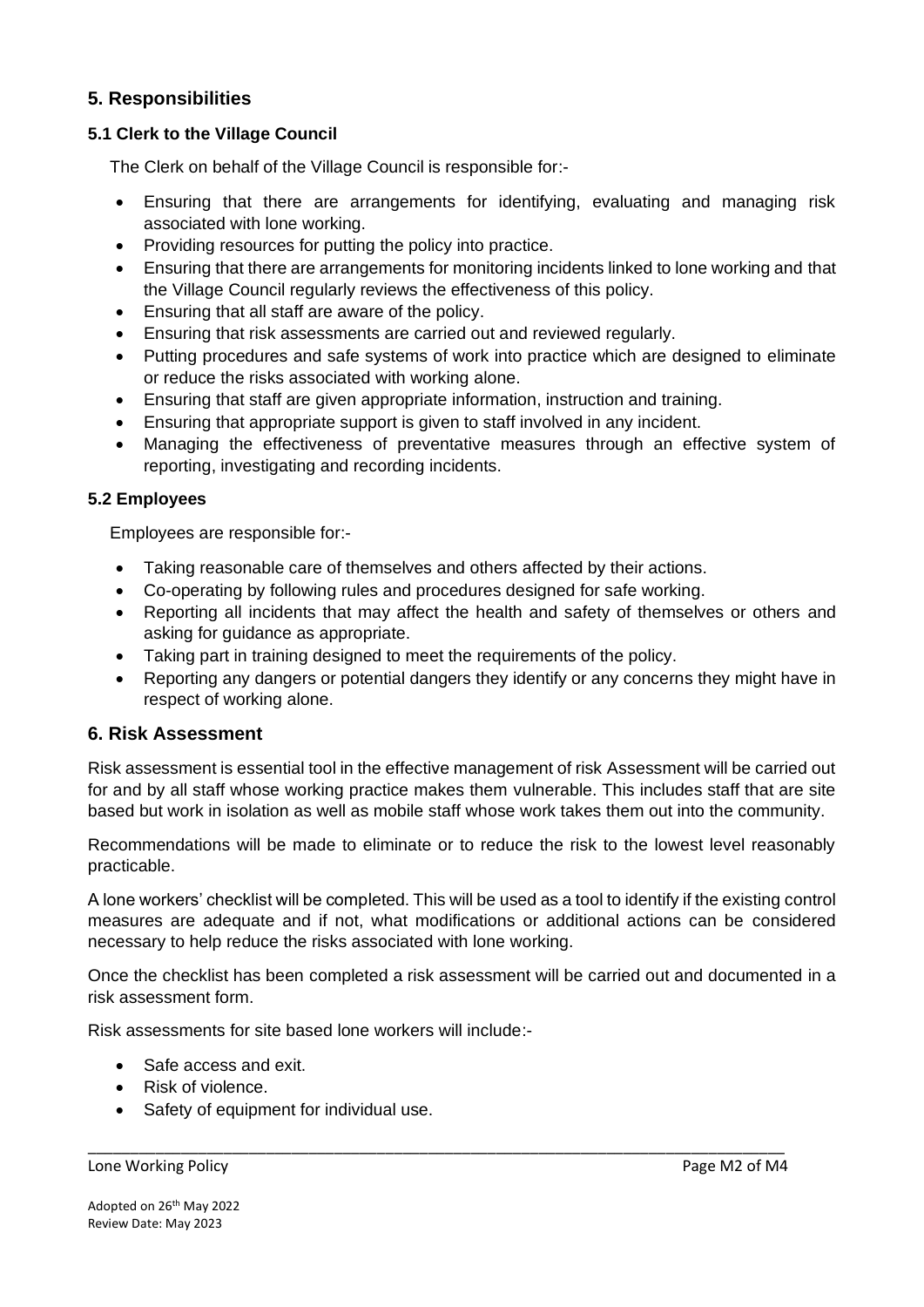### **5. Responsibilities**

#### **5.1 Clerk to the Village Council**

The Clerk on behalf of the Village Council is responsible for:-

- Ensuring that there are arrangements for identifying, evaluating and managing risk associated with lone working.
- Providing resources for putting the policy into practice.
- Ensuring that there are arrangements for monitoring incidents linked to lone working and that the Village Council regularly reviews the effectiveness of this policy.
- Ensuring that all staff are aware of the policy.
- Ensuring that risk assessments are carried out and reviewed regularly.
- Putting procedures and safe systems of work into practice which are designed to eliminate or reduce the risks associated with working alone.
- Ensuring that staff are given appropriate information, instruction and training.
- Ensuring that appropriate support is given to staff involved in any incident.
- Managing the effectiveness of preventative measures through an effective system of reporting, investigating and recording incidents.

### **5.2 Employees**

Employees are responsible for:-

- Taking reasonable care of themselves and others affected by their actions.
- Co-operating by following rules and procedures designed for safe working.
- Reporting all incidents that may affect the health and safety of themselves or others and asking for guidance as appropriate.
- Taking part in training designed to meet the requirements of the policy.
- Reporting any dangers or potential dangers they identify or any concerns they might have in respect of working alone.

### **6. Risk Assessment**

Risk assessment is essential tool in the effective management of risk Assessment will be carried out for and by all staff whose working practice makes them vulnerable. This includes staff that are site based but work in isolation as well as mobile staff whose work takes them out into the community.

Recommendations will be made to eliminate or to reduce the risk to the lowest level reasonably practicable.

A lone workers' checklist will be completed. This will be used as a tool to identify if the existing control measures are adequate and if not, what modifications or additional actions can be considered necessary to help reduce the risks associated with lone working.

Once the checklist has been completed a risk assessment will be carried out and documented in a risk assessment form.

\_\_\_\_\_\_\_\_\_\_\_\_\_\_\_\_\_\_\_\_\_\_\_\_\_\_\_\_\_\_\_\_\_\_\_\_\_\_\_\_\_\_\_\_\_\_\_\_\_\_\_\_\_\_\_\_\_\_\_\_\_\_\_\_\_\_\_\_\_\_\_\_\_\_\_\_\_\_\_\_\_\_

Risk assessments for site based lone workers will include:-

- Safe access and exit.
- Risk of violence.
- Safety of equipment for individual use.

#### Lone Working Policy **Page M2 of M4**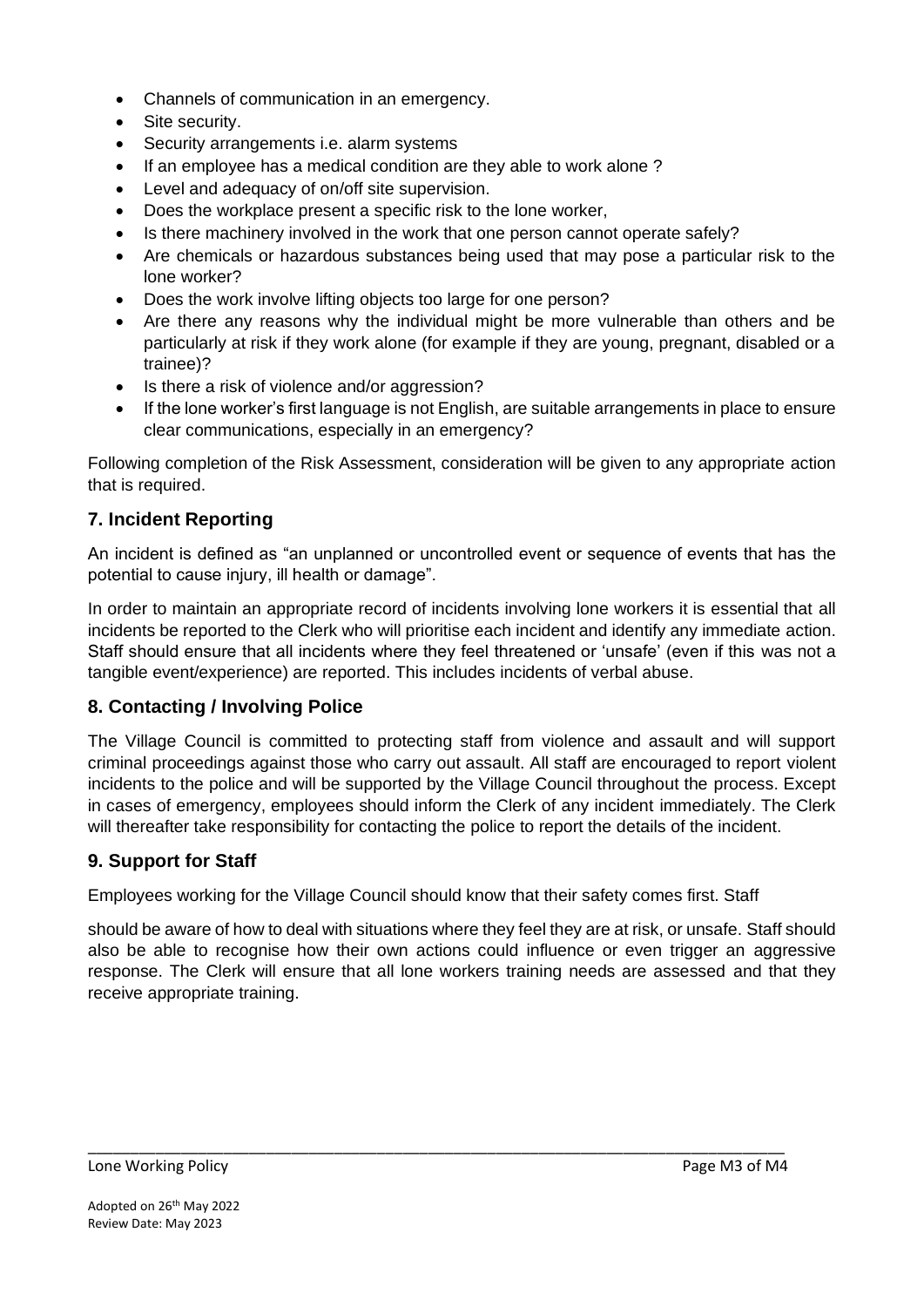- Channels of communication in an emergency.
- Site security.
- Security arrangements i.e. alarm systems
- If an employee has a medical condition are they able to work alone ?
- Level and adequacy of on/off site supervision.
- Does the workplace present a specific risk to the lone worker,
- Is there machinery involved in the work that one person cannot operate safely?
- Are chemicals or hazardous substances being used that may pose a particular risk to the lone worker?
- Does the work involve lifting objects too large for one person?
- Are there any reasons why the individual might be more vulnerable than others and be particularly at risk if they work alone (for example if they are young, pregnant, disabled or a trainee)?
- Is there a risk of violence and/or aggression?
- If the lone worker's first language is not English, are suitable arrangements in place to ensure clear communications, especially in an emergency?

Following completion of the Risk Assessment, consideration will be given to any appropriate action that is required.

# **7. Incident Reporting**

An incident is defined as "an unplanned or uncontrolled event or sequence of events that has the potential to cause injury, ill health or damage".

In order to maintain an appropriate record of incidents involving lone workers it is essential that all incidents be reported to the Clerk who will prioritise each incident and identify any immediate action. Staff should ensure that all incidents where they feel threatened or 'unsafe' (even if this was not a tangible event/experience) are reported. This includes incidents of verbal abuse.

# **8. Contacting / Involving Police**

The Village Council is committed to protecting staff from violence and assault and will support criminal proceedings against those who carry out assault. All staff are encouraged to report violent incidents to the police and will be supported by the Village Council throughout the process. Except in cases of emergency, employees should inform the Clerk of any incident immediately. The Clerk will thereafter take responsibility for contacting the police to report the details of the incident.

# **9. Support for Staff**

Employees working for the Village Council should know that their safety comes first. Staff

\_\_\_\_\_\_\_\_\_\_\_\_\_\_\_\_\_\_\_\_\_\_\_\_\_\_\_\_\_\_\_\_\_\_\_\_\_\_\_\_\_\_\_\_\_\_\_\_\_\_\_\_\_\_\_\_\_\_\_\_\_\_\_\_\_\_\_\_\_\_\_\_\_\_\_\_\_\_\_\_\_\_

should be aware of how to deal with situations where they feel they are at risk, or unsafe. Staff should also be able to recognise how their own actions could influence or even trigger an aggressive response. The Clerk will ensure that all lone workers training needs are assessed and that they receive appropriate training.